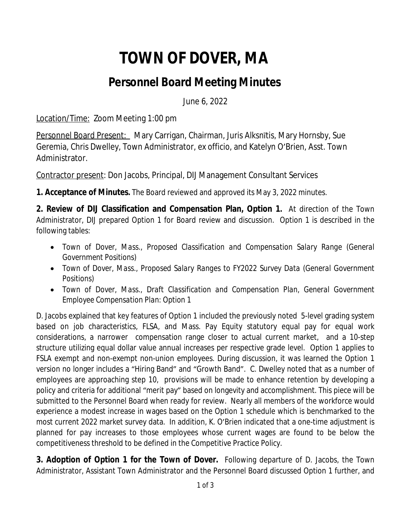## **TOWN OF DOVER, MA**

## **Personnel Board Meeting Minutes**

June 6, 2022

Location/Time: Zoom Meeting 1:00 pm

Personnel Board Present: Mary Carrigan, Chairman, Juris Alksnītis, Mary Hornsby, Sue Geremia, Chris Dwelley, Town Administrator, *ex officio,* and Katelyn O'Brien, Asst. Town Administrator.

Contractor present: Don Jacobs, Principal, DIJ Management Consultant Services

**1. Acceptance of Minutes.** The Board reviewed and approved its May 3, 2022 minutes.

**2. Review of DIJ Classification and Compensation Plan, Option 1.** At direction of the Town Administrator, DIJ prepared Option 1 for Board review and discussion. Option 1 is described in the following tables:

- *Town of Dover, Mass., Proposed Classification and Compensation Salary Range (General Government Positions)*
- *Town of Dover, Mass., Proposed Salary Ranges to FY2022 Survey Data (General Government Positions)*
- *Town of Dover, Mass., Draft Classification and Compensation Plan, General Government Employee Compensation Plan: Option 1*

D. Jacobs explained that key features of Option 1 included the previously noted 5-level grading system based on job characteristics, FLSA, and Mass. Pay Equity statutory equal pay for equal work considerations, a narrower compensation range closer to actual current market, and a 10-step structure utilizing equal dollar value annual increases per respective grade level. Option 1 applies to FSLA exempt and non-exempt non-union employees. During discussion, it was learned the Option 1 version no longer includes a "Hiring Band" and "Growth Band". C. Dwelley noted that as a number of employees are approaching step 10, provisions will be made to enhance retention by developing a policy and criteria for additional "merit pay" based on longevity and accomplishment. This piece will be submitted to the Personnel Board when ready for review. Nearly all members of the workforce would experience a modest increase in wages based on the Option 1 schedule which is benchmarked to the most current 2022 market survey data. In addition, K. O'Brien indicated that a one-time adjustment is planned for pay increases to those employees whose current wages are found to be below the competitiveness threshold to be defined in the Competitive Practice Policy.

**3. Adoption of Option 1 for the Town of Dover.** Following departure of D. Jacobs, the Town Administrator, Assistant Town Administrator and the Personnel Board discussed Option 1 further, and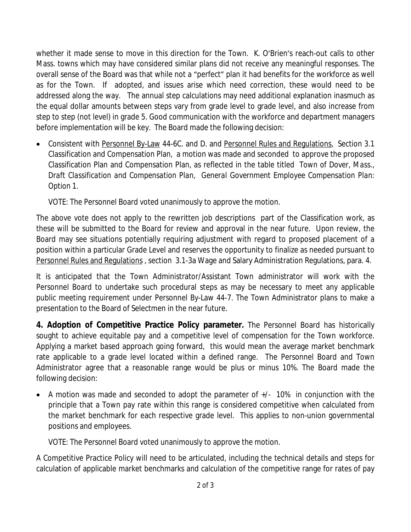whether it made sense to move in this direction for the Town. K. O'Brien's reach-out calls to other Mass. towns which may have considered similar plans did not receive any meaningful responses. The overall sense of the Board was that while not a "perfect" plan it had benefits for the workforce as well as for the Town. If adopted, and issues arise which need correction, these would need to be addressed along the way. The annual step calculations may need additional explanation inasmuch as the equal dollar amounts between steps vary from grade level to grade level, and also increase from step to step (not level) in grade 5. Good communication with the workforce and department managers before implementation will be key. The Board made the following decision:

• Consistent with Personnel By-Law 44-6C. and D. and Personnel Rules and Regulations, Section 3.1 Classification and Compensation Plan, a motion was made and seconded to approve the proposed Classification Plan and Compensation Plan, as reflected in the table titled *Town of Dover, Mass., Draft Classification and Compensation Plan, General Government Employee Compensation Plan: Option 1*.

VOTE: The Personnel Board voted unanimously to approve the motion.

The above vote does not apply to the rewritten job descriptions part of the Classification work, as these will be submitted to the Board for review and approval in the near future. Upon review, the Board may see situations potentially requiring adjustment with regard to proposed placement of a position within a particular Grade Level and reserves the opportunity to finalize as needed pursuant to Personnel Rules and Regulations , section 3.1-3a Wage and Salary Administration Regulations, para. 4.

It is anticipated that the Town Administrator/Assistant Town administrator will work with the Personnel Board to undertake such procedural steps as may be necessary to meet any applicable public meeting requirement under Personnel By-Law 44-7. The Town Administrator plans to make a presentation to the Board of Selectmen in the near future.

**4. Adoption of Competitive Practice Policy parameter.** The Personnel Board has historically sought to achieve equitable pay and a competitive level of compensation for the Town workforce. Applying a market based approach going forward, this would mean the average market benchmark rate applicable to a grade level located within a defined range. The Personnel Board and Town Administrator agree that a reasonable range would be plus or minus 10%. The Board made the following decision:

 A motion was made and seconded to adopt the parameter of +/- 10% in conjunction with the principle that a Town pay rate within this range is considered competitive when calculated from the market benchmark for each respective grade level. This applies to non-union governmental positions and employees.

VOTE: The Personnel Board voted unanimously to approve the motion.

A Competitive Practice Policy will need to be articulated, including the technical details and steps for calculation of applicable market benchmarks and calculation of the competitive range for rates of pay